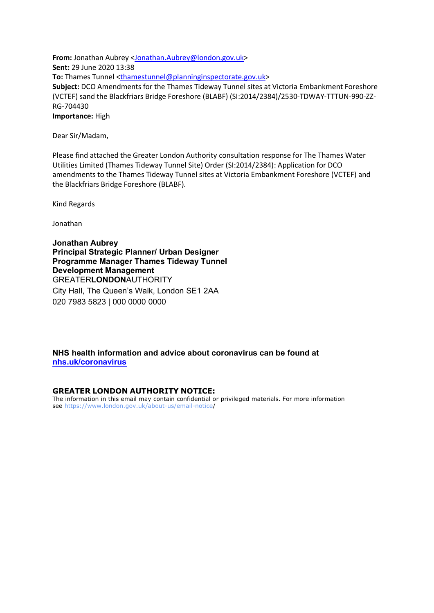**From:** Jonathan Aubrey [<Jonathan.Aubrey@london.gov.uk>](mailto:Jonathan.Aubrey@london.gov.uk) **Sent:** 29 June 2020 13:38 **To:** Thames Tunnel [<thamestunnel@planninginspectorate.gov.uk>](mailto:thamestunnel@planninginspectorate.gov.uk) **Subject:** DCO Amendments for the Thames Tideway Tunnel sites at Victoria Embankment Foreshore (VCTEF) sand the Blackfriars Bridge Foreshore (BLABF) (SI:2014/2384)/2530-TDWAY-TTTUN-990-ZZ-RG-704430 **Importance:** High

Dear Sir/Madam,

Please find attached the Greater London Authority consultation response for The Thames Water Utilities Limited (Thames Tideway Tunnel Site) Order (SI:2014/2384): Application for DCO amendments to the Thames Tideway Tunnel sites at Victoria Embankment Foreshore (VCTEF) and the Blackfriars Bridge Foreshore (BLABF).

Kind Regards

Jonathan

**Jonathan Aubrey Principal Strategic Planner/ Urban Designer Programme Manager Thames Tideway Tunnel Development Management** GREATER**LONDON**AUTHORITY City Hall, The Queen's Walk, London SE1 2AA 020 7983 5823 | 000 0000 0000

**NHS health information and advice about coronavirus can be found at [nhs.uk/coronavirus](https://gbr01.safelinks.protection.outlook.com/?url=https%3A%2F%2Fnhs.uk%2Fcoronavirus&data=02%7C01%7Cthamestunnel%40planninginspectorate.gov.uk%7Cb034016bbe1b444f27f908d81c2935a6%7C5878df986f8848ab9322998ce557088d%7C1%7C1%7C637290310607513963&sdata=0NWEafO5qDsrP1YFTVOcCod98X%2Fg169luARW%2Fn4iYLc%3D&reserved=0)**

## **GREATER LONDON AUTHORITY NOTICE:**

The information in this email may contain confidential or privileged materials. For more information see [https://www.london.gov.uk/about-us/email-notice/](https://gbr01.safelinks.protection.outlook.com/?url=https%3A%2F%2Fwww.london.gov.uk%2Fabout-us%2Femail-notice&data=02%7C01%7Cthamestunnel%40planninginspectorate.gov.uk%7Cb034016bbe1b444f27f908d81c2935a6%7C5878df986f8848ab9322998ce557088d%7C1%7C1%7C637290310607523955&sdata=9e3OvAiOq5AFrMeKSt4GQegnCPeEBGuUsFXVfjH9Ef0%3D&reserved=0)